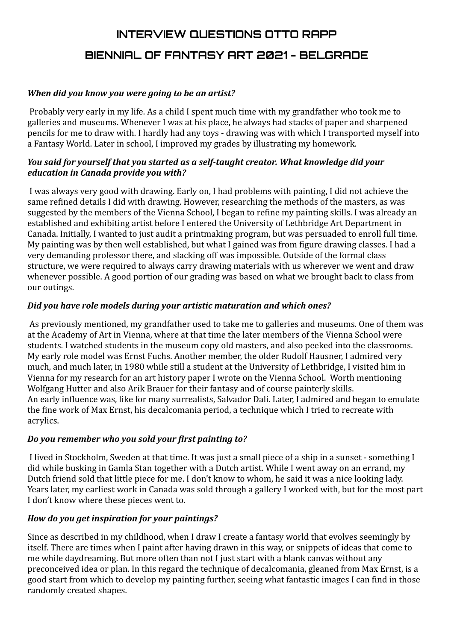# **INTERVIEW QUESTIONS OTTO RAPP BIENNIAL OF FANTASY ART 2021 - BELGRADE**

## *When did you know you were going to be an artist?*

Probably very early in my life. As a child I spent much time with my grandfather who took me to galleries and museums. Whenever I was at his place, he always had stacks of paper and sharpened pencils for me to draw with. I hardly had any toys - drawing was with which I transported myself into a Fantasy World. Later in school, I improved my grades by illustrating my homework.

## *You said for yourself that you started as a self-taught creator. What knowledge did your education in Canada provide you with?*

I was always very good with drawing. Early on, I had problems with painting, I did not achieve the same refined details I did with drawing. However, researching the methods of the masters, as was suggested by the members of the Vienna School, I began to refine my painting skills. I was already an established and exhibiting artist before I entered the University of Lethbridge Art Department in Canada. Initially, I wanted to just audit a printmaking program, but was persuaded to enroll full time. My painting was by then well established, but what I gained was from figure drawing classes. I had a very demanding professor there, and slacking off was impossible. Outside of the formal class structure, we were required to always carry drawing materials with us wherever we went and draw whenever possible. A good portion of our grading was based on what we brought back to class from our outings.

## *Did you have role models during your artistic maturation and which ones?*

As previously mentioned, my grandfather used to take me to galleries and museums. One of them was at the Academy of Art in Vienna, where at that time the later members of the Vienna School were students. I watched students in the museum copy old masters, and also peeked into the classrooms. My early role model was Ernst Fuchs. Another member, the older Rudolf Hausner, I admired very much, and much later, in 1980 while still a student at the University of Lethbridge, I visited him in Vienna for my research for an art history paper I wrote on the Vienna School. Worth mentioning Wolfgang Hutter and also Arik Brauer for their fantasy and of course painterly skills. An early influence was, like for many surrealists, Salvador Dali. Later, I admired and began to emulate the fine work of Max Ernst, his decalcomania period, a technique which I tried to recreate with acrylics.

## *Do you remember who you sold your first painting to?*

I lived in Stockholm, Sweden at that time. It was just a small piece of a ship in a sunset - something I did while busking in Gamla Stan together with a Dutch artist. While I went away on an errand, my Dutch friend sold that little piece for me. I don't know to whom, he said it was a nice looking lady. Years later, my earliest work in Canada was sold through a gallery I worked with, but for the most part I don't know where these pieces went to.

## *How do you get inspiration for your paintings?*

Since as described in my childhood, when I draw I create a fantasy world that evolves seemingly by itself. There are times when I paint after having drawn in this way, or snippets of ideas that come to me while daydreaming. But more often than not I just start with a blank canvas without any preconceived idea or plan. In this regard the technique of decalcomania, gleaned from Max Ernst, is a good start from which to develop my painting further, seeing what fantastic images I can find in those randomly created shapes.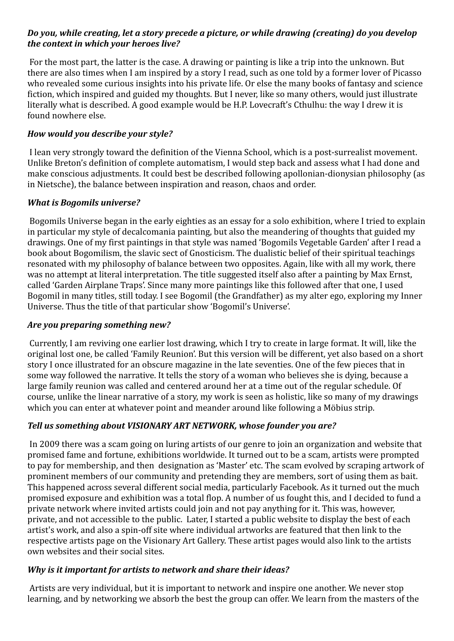## *Do you, while creating, let a story precede a picture, or while drawing (creating) do you develop the context in which your heroes live?*

For the most part, the latter is the case. A drawing or painting is like a trip into the unknown. But there are also times when I am inspired by a story I read, such as one told by a former lover of Picasso who revealed some curious insights into his private life. Or else the many books of fantasy and science fiction, which inspired and guided my thoughts. But I never, like so many others, would just illustrate literally what is described. A good example would be H.P. Lovecraft's Cthulhu: the way I drew it is found nowhere else.

## *How would you describe your style?*

I lean very strongly toward the definition of the Vienna School, which is a post-surrealist movement. Unlike Breton's definition of complete automatism, I would step back and assess what I had done and make conscious adjustments. It could best be described following apollonian-dionysian philosophy (as in Nietsche), the balance between inspiration and reason, chaos and order.

## *What is Bogomils universe?*

Bogomils Universe began in the early eighties as an essay for a solo exhibition, where I tried to explain in particular my style of decalcomania painting, but also the meandering of thoughts that guided my drawings. One of my first paintings in that style was named 'Bogomils Vegetable Garden' after I read a book about Bogomilism, the slavic sect of Gnosticism. The dualistic belief of their spiritual teachings resonated with my philosophy of balance between two opposites. Again, like with all my work, there was no attempt at literal interpretation. The title suggested itself also after a painting by Max Ernst, called 'Garden Airplane Traps'. Since many more paintings like this followed after that one, I used Bogomil in many titles, still today. I see Bogomil (the Grandfather) as my alter ego, exploring my Inner Universe. Thus the title of that particular show 'Bogomil's Universe'.

## *Are you preparing something new?*

Currently, I am reviving one earlier lost drawing, which I try to create in large format. It will, like the original lost one, be called 'Family Reunion'. But this version will be different, yet also based on a short story I once illustrated for an obscure magazine in the late seventies. One of the few pieces that in some way followed the narrative. It tells the story of a woman who believes she is dying, because a large family reunion was called and centered around her at a time out of the regular schedule. Of course, unlike the linear narrative of a story, my work is seen as holistic, like so many of my drawings which you can enter at whatever point and meander around like following a Möbius strip.

# *Tell us something about VISIONARY ART NETWORK, whose founder you are?*

In 2009 there was a scam going on luring artists of our genre to join an organization and website that promised fame and fortune, exhibitions worldwide. It turned out to be a scam, artists were prompted to pay for membership, and then designation as 'Master' etc. The scam evolved by scraping artwork of prominent members of our community and pretending they are members, sort of using them as bait. This happened across several different social media, particularly Facebook. As it turned out the much promised exposure and exhibition was a total flop. A number of us fought this, and I decided to fund a private network where invited artists could join and not pay anything for it. This was, however, private, and not accessible to the public. Later, I started a public website to display the best of each artist's work, and also a spin-off site where individual artworks are featured that then link to the respective artists page on the Visionary Art Gallery. These artist pages would also link to the artists own websites and their social sites.

# *Why is it important for artists to network and share their ideas?*

Artists are very individual, but it is important to network and inspire one another. We never stop learning, and by networking we absorb the best the group can offer. We learn from the masters of the